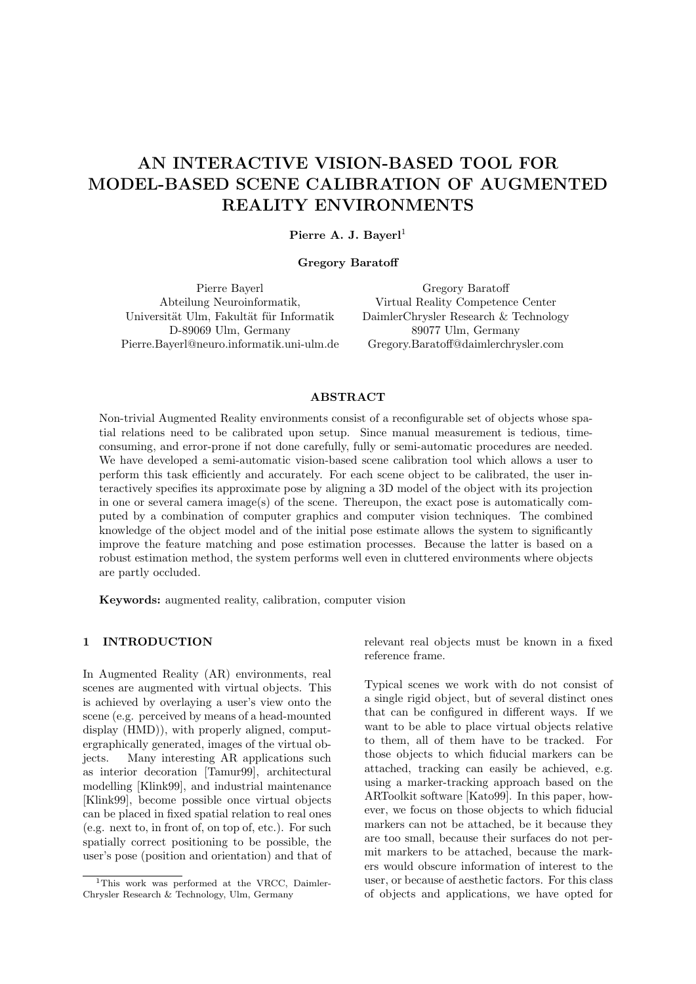# AN INTERACTIVE VISION-BASED TOOL FOR MODEL-BASED SCENE CALIBRATION OF AUGMENTED REALITY ENVIRONMENTS

## Pierre A. J. Bayer $l<sup>1</sup>$

## Gregory Baratoff

Pierre Bayerl Abteilung Neuroinformatik, Universität Ulm, Fakultät für Informatik D-89069 Ulm, Germany Pierre.Bayerl@neuro.informatik.uni-ulm.de

Gregory Baratoff Virtual Reality Competence Center DaimlerChrysler Research & Technology 89077 Ulm, Germany Gregory.Baratoff@daimlerchrysler.com

### ABSTRACT

Non-trivial Augmented Reality environments consist of a reconfigurable set of objects whose spatial relations need to be calibrated upon setup. Since manual measurement is tedious, timeconsuming, and error-prone if not done carefully, fully or semi-automatic procedures are needed. We have developed a semi-automatic vision-based scene calibration tool which allows a user to perform this task efficiently and accurately. For each scene object to be calibrated, the user interactively specifies its approximate pose by aligning a 3D model of the object with its projection in one or several camera image(s) of the scene. Thereupon, the exact pose is automatically computed by a combination of computer graphics and computer vision techniques. The combined knowledge of the object model and of the initial pose estimate allows the system to significantly improve the feature matching and pose estimation processes. Because the latter is based on a robust estimation method, the system performs well even in cluttered environments where objects are partly occluded.

Keywords: augmented reality, calibration, computer vision

#### 1 INTRODUCTION

In Augmented Reality (AR) environments, real scenes are augmented with virtual objects. This is achieved by overlaying a user's view onto the scene (e.g. perceived by means of a head-mounted display (HMD)), with properly aligned, computergraphically generated, images of the virtual objects. Many interesting AR applications such as interior decoration [Tamur99], architectural modelling [Klink99], and industrial maintenance [Klink99], become possible once virtual objects can be placed in fixed spatial relation to real ones (e.g. next to, in front of, on top of, etc.). For such spatially correct positioning to be possible, the user's pose (position and orientation) and that of relevant real objects must be known in a fixed reference frame.

Typical scenes we work with do not consist of a single rigid object, but of several distinct ones that can be configured in different ways. If we want to be able to place virtual objects relative to them, all of them have to be tracked. For those objects to which fiducial markers can be attached, tracking can easily be achieved, e.g. using a marker-tracking approach based on the ARToolkit software [Kato99]. In this paper, however, we focus on those objects to which fiducial markers can not be attached, be it because they are too small, because their surfaces do not permit markers to be attached, because the markers would obscure information of interest to the user, or because of aesthetic factors. For this class of objects and applications, we have opted for

<sup>&</sup>lt;sup>1</sup>This work was performed at the VRCC, Daimler-Chrysler Research & Technology, Ulm, Germany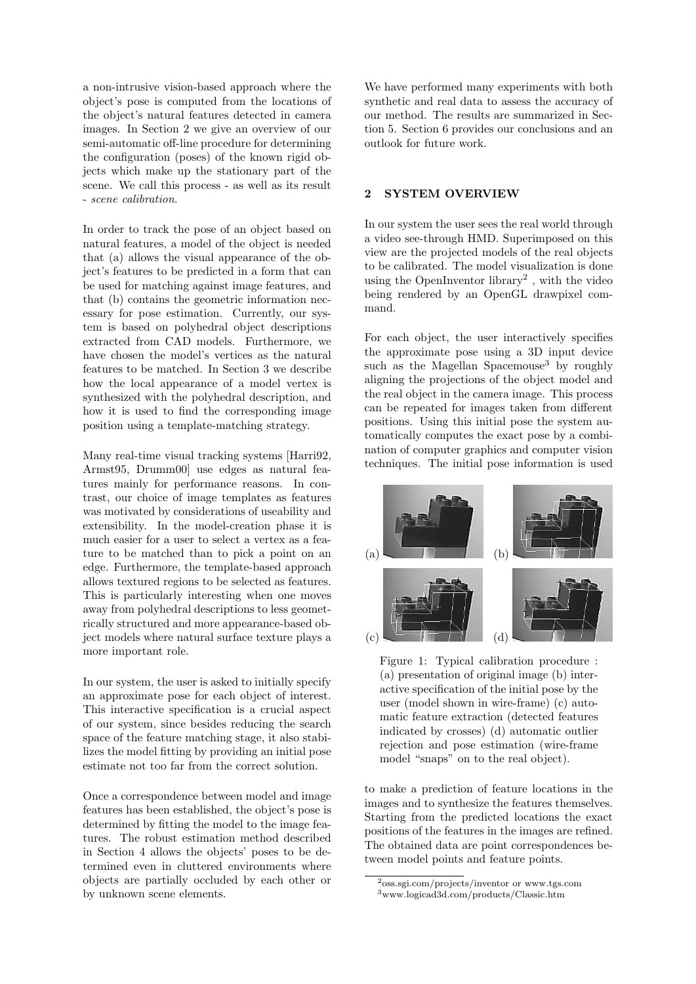a non-intrusive vision-based approach where the object's pose is computed from the locations of the object's natural features detected in camera images. In Section 2 we give an overview of our semi-automatic off-line procedure for determining the configuration (poses) of the known rigid objects which make up the stationary part of the scene. We call this process - as well as its result - scene calibration.

In order to track the pose of an object based on natural features, a model of the object is needed that (a) allows the visual appearance of the object's features to be predicted in a form that can be used for matching against image features, and that (b) contains the geometric information necessary for pose estimation. Currently, our system is based on polyhedral object descriptions extracted from CAD models. Furthermore, we have chosen the model's vertices as the natural features to be matched. In Section 3 we describe how the local appearance of a model vertex is synthesized with the polyhedral description, and how it is used to find the corresponding image position using a template-matching strategy.

Many real-time visual tracking systems [Harri92, Armst95, Drumm00] use edges as natural features mainly for performance reasons. In contrast, our choice of image templates as features was motivated by considerations of useability and extensibility. In the model-creation phase it is much easier for a user to select a vertex as a feature to be matched than to pick a point on an edge. Furthermore, the template-based approach allows textured regions to be selected as features. This is particularly interesting when one moves away from polyhedral descriptions to less geometrically structured and more appearance-based object models where natural surface texture plays a more important role.

In our system, the user is asked to initially specify an approximate pose for each object of interest. This interactive specification is a crucial aspect of our system, since besides reducing the search space of the feature matching stage, it also stabilizes the model fitting by providing an initial pose estimate not too far from the correct solution.

Once a correspondence between model and image features has been established, the object's pose is determined by fitting the model to the image features. The robust estimation method described in Section 4 allows the objects' poses to be determined even in cluttered environments where objects are partially occluded by each other or by unknown scene elements.

We have performed many experiments with both synthetic and real data to assess the accuracy of our method. The results are summarized in Section 5. Section 6 provides our conclusions and an outlook for future work.

#### 2 SYSTEM OVERVIEW

In our system the user sees the real world through a video see-through HMD. Superimposed on this view are the projected models of the real objects to be calibrated. The model visualization is done using the OpenInventor library<sup>2</sup> , with the video being rendered by an OpenGL drawpixel command.

For each object, the user interactively specifies the approximate pose using a 3D input device such as the Magellan Spacemouse<sup>3</sup> by roughly aligning the projections of the object model and the real object in the camera image. This process can be repeated for images taken from different positions. Using this initial pose the system automatically computes the exact pose by a combination of computer graphics and computer vision techniques. The initial pose information is used



Figure 1: Typical calibration procedure : (a) presentation of original image (b) interactive specification of the initial pose by the user (model shown in wire-frame) (c) automatic feature extraction (detected features indicated by crosses) (d) automatic outlier rejection and pose estimation (wire-frame model "snaps" on to the real object).

to make a prediction of feature locations in the images and to synthesize the features themselves. Starting from the predicted locations the exact positions of the features in the images are refined. The obtained data are point correspondences between model points and feature points.

<sup>2</sup>oss.sgi.com/projects/inventor or www.tgs.com <sup>3</sup>www.logicad3d.com/products/Classic.htm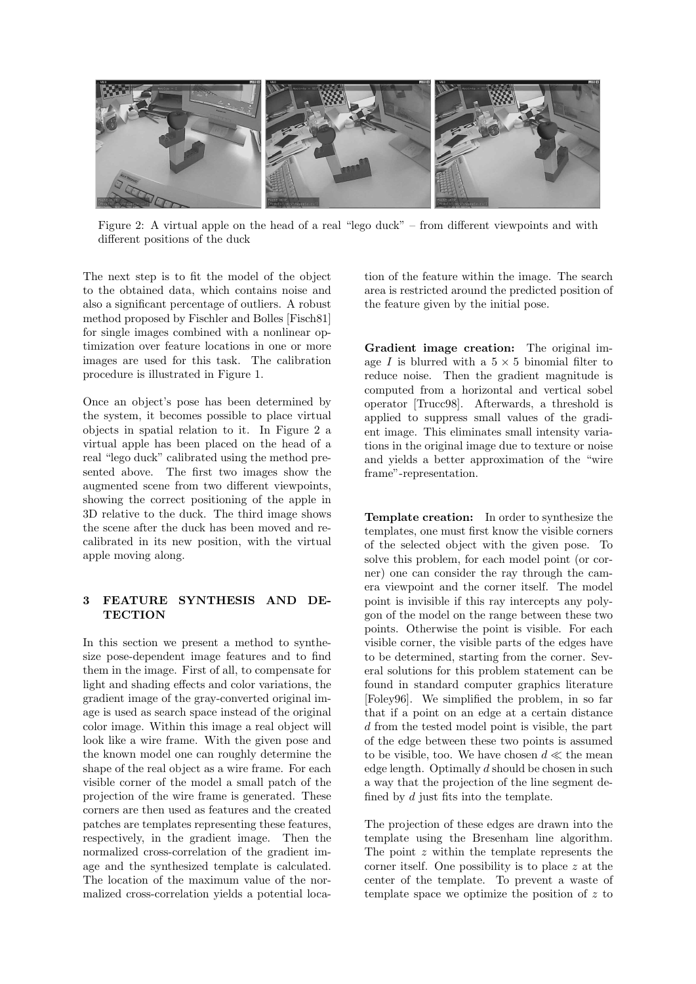

Figure 2: A virtual apple on the head of a real "lego duck" – from different viewpoints and with different positions of the duck

The next step is to fit the model of the object to the obtained data, which contains noise and also a significant percentage of outliers. A robust method proposed by Fischler and Bolles [Fisch81] for single images combined with a nonlinear optimization over feature locations in one or more images are used for this task. The calibration procedure is illustrated in Figure 1.

Once an object's pose has been determined by the system, it becomes possible to place virtual objects in spatial relation to it. In Figure 2 a virtual apple has been placed on the head of a real "lego duck" calibrated using the method presented above. The first two images show the augmented scene from two different viewpoints, showing the correct positioning of the apple in 3D relative to the duck. The third image shows the scene after the duck has been moved and recalibrated in its new position, with the virtual apple moving along.

## 3 FEATURE SYNTHESIS AND DE-**TECTION**

In this section we present a method to synthesize pose-dependent image features and to find them in the image. First of all, to compensate for light and shading effects and color variations, the gradient image of the gray-converted original image is used as search space instead of the original color image. Within this image a real object will look like a wire frame. With the given pose and the known model one can roughly determine the shape of the real object as a wire frame. For each visible corner of the model a small patch of the projection of the wire frame is generated. These corners are then used as features and the created patches are templates representing these features, respectively, in the gradient image. Then the normalized cross-correlation of the gradient image and the synthesized template is calculated. The location of the maximum value of the normalized cross-correlation yields a potential location of the feature within the image. The search area is restricted around the predicted position of the feature given by the initial pose.

Gradient image creation: The original image I is blurred with a  $5 \times 5$  binomial filter to reduce noise. Then the gradient magnitude is computed from a horizontal and vertical sobel operator [Trucc98]. Afterwards, a threshold is applied to suppress small values of the gradient image. This eliminates small intensity variations in the original image due to texture or noise and yields a better approximation of the "wire frame"-representation.

Template creation: In order to synthesize the templates, one must first know the visible corners of the selected object with the given pose. To solve this problem, for each model point (or corner) one can consider the ray through the camera viewpoint and the corner itself. The model point is invisible if this ray intercepts any polygon of the model on the range between these two points. Otherwise the point is visible. For each visible corner, the visible parts of the edges have to be determined, starting from the corner. Several solutions for this problem statement can be found in standard computer graphics literature [Foley96]. We simplified the problem, in so far that if a point on an edge at a certain distance d from the tested model point is visible, the part of the edge between these two points is assumed to be visible, too. We have chosen  $d \ll$  the mean edge length. Optimally d should be chosen in such a way that the projection of the line segment defined by d just fits into the template.

The projection of these edges are drawn into the template using the Bresenham line algorithm. The point z within the template represents the corner itself. One possibility is to place z at the center of the template. To prevent a waste of template space we optimize the position of z to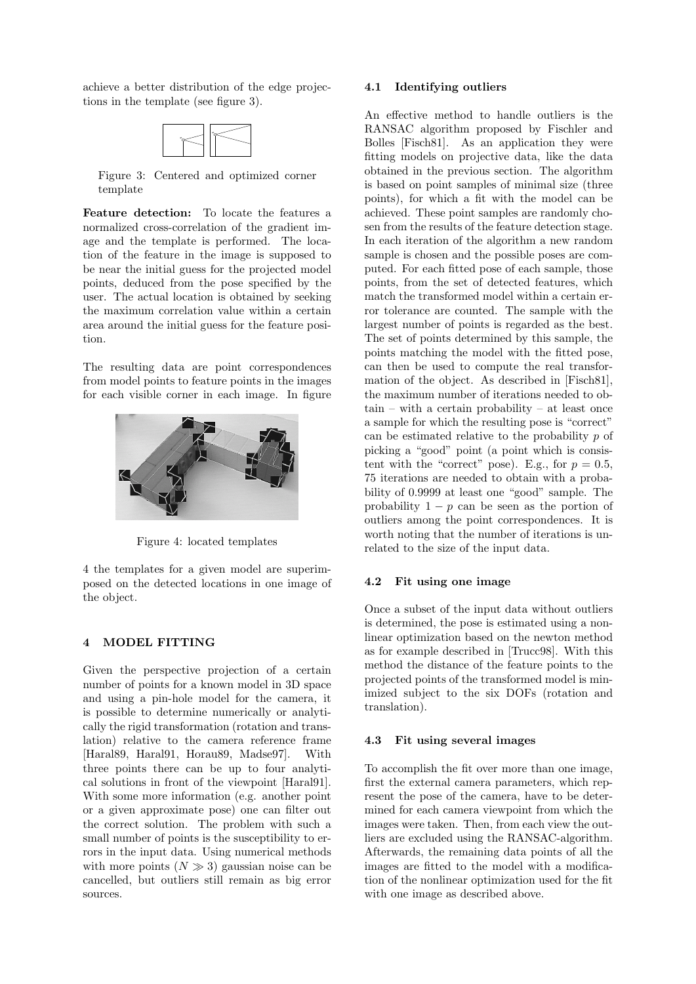achieve a better distribution of the edge projections in the template (see figure 3).



Figure 3: Centered and optimized corner template

Feature detection: To locate the features a normalized cross-correlation of the gradient image and the template is performed. The location of the feature in the image is supposed to be near the initial guess for the projected model points, deduced from the pose specified by the user. The actual location is obtained by seeking the maximum correlation value within a certain area around the initial guess for the feature position.

The resulting data are point correspondences from model points to feature points in the images for each visible corner in each image. In figure



Figure 4: located templates

4 the templates for a given model are superimposed on the detected locations in one image of the object.

## 4 MODEL FITTING

Given the perspective projection of a certain number of points for a known model in 3D space and using a pin-hole model for the camera, it is possible to determine numerically or analytically the rigid transformation (rotation and translation) relative to the camera reference frame [Haral89, Haral91, Horau89, Madse97]. With three points there can be up to four analytical solutions in front of the viewpoint [Haral91]. With some more information (e.g. another point or a given approximate pose) one can filter out the correct solution. The problem with such a small number of points is the susceptibility to errors in the input data. Using numerical methods with more points  $(N \gg 3)$  gaussian noise can be cancelled, but outliers still remain as big error sources.

#### 4.1 Identifying outliers

An effective method to handle outliers is the RANSAC algorithm proposed by Fischler and Bolles [Fisch81]. As an application they were fitting models on projective data, like the data obtained in the previous section. The algorithm is based on point samples of minimal size (three points), for which a fit with the model can be achieved. These point samples are randomly chosen from the results of the feature detection stage. In each iteration of the algorithm a new random sample is chosen and the possible poses are computed. For each fitted pose of each sample, those points, from the set of detected features, which match the transformed model within a certain error tolerance are counted. The sample with the largest number of points is regarded as the best. The set of points determined by this sample, the points matching the model with the fitted pose, can then be used to compute the real transformation of the object. As described in [Fisch81], the maximum number of iterations needed to obtain – with a certain probability – at least once a sample for which the resulting pose is "correct" can be estimated relative to the probability p of picking a "good" point (a point which is consistent with the "correct" pose). E.g., for  $p = 0.5$ , 75 iterations are needed to obtain with a probability of 0.9999 at least one "good" sample. The probability  $1 - p$  can be seen as the portion of outliers among the point correspondences. It is worth noting that the number of iterations is unrelated to the size of the input data.

#### 4.2 Fit using one image

Once a subset of the input data without outliers is determined, the pose is estimated using a nonlinear optimization based on the newton method as for example described in [Trucc98]. With this method the distance of the feature points to the projected points of the transformed model is minimized subject to the six DOFs (rotation and translation).

#### 4.3 Fit using several images

To accomplish the fit over more than one image, first the external camera parameters, which represent the pose of the camera, have to be determined for each camera viewpoint from which the images were taken. Then, from each view the outliers are excluded using the RANSAC-algorithm. Afterwards, the remaining data points of all the images are fitted to the model with a modification of the nonlinear optimization used for the fit with one image as described above.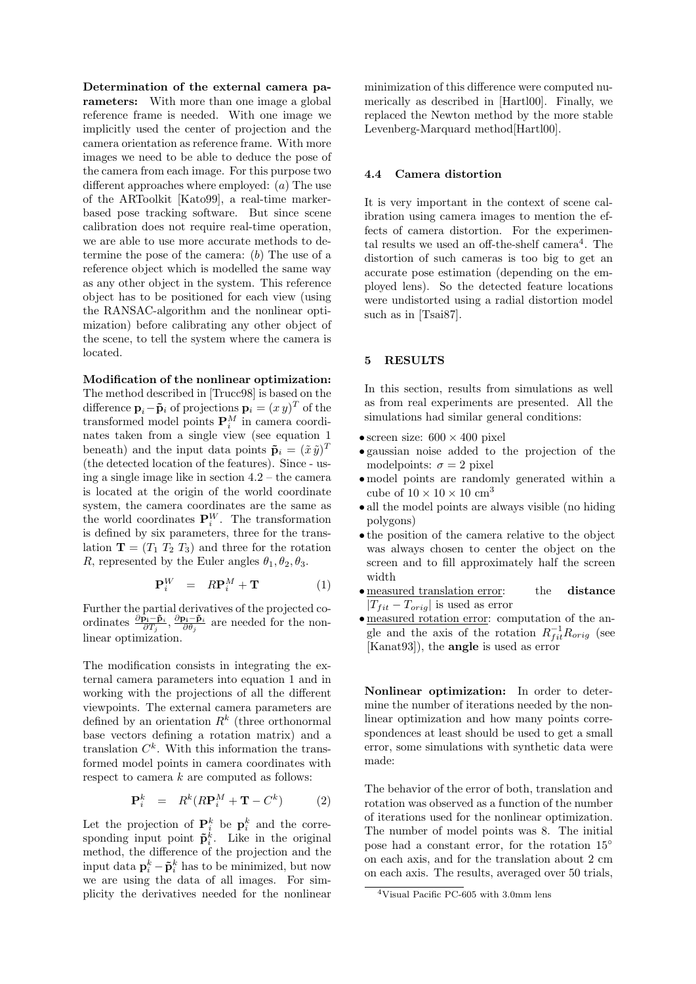Determination of the external camera parameters: With more than one image a global reference frame is needed. With one image we implicitly used the center of projection and the camera orientation as reference frame. With more images we need to be able to deduce the pose of the camera from each image. For this purpose two different approaches where employed: (a) The use of the ARToolkit [Kato99], a real-time markerbased pose tracking software. But since scene calibration does not require real-time operation, we are able to use more accurate methods to determine the pose of the camera: (b) The use of a reference object which is modelled the same way as any other object in the system. This reference object has to be positioned for each view (using the RANSAC-algorithm and the nonlinear optimization) before calibrating any other object of the scene, to tell the system where the camera is located.

Modification of the nonlinear optimization: The method described in [Trucc98] is based on the difference  $\mathbf{p}_i - \tilde{\mathbf{p}}_i$  of projections  $\mathbf{p}_i = (xy)^T$  of the transformed model points  $\mathbf{P}_i^M$  in camera coordinates taken from a single view (see equation 1 beneath) and the input data points  $\tilde{\mathbf{p}}_i = (\tilde{x} \tilde{y})^T$ (the detected location of the features). Since - using a single image like in section 4.2 – the camera is located at the origin of the world coordinate system, the camera coordinates are the same as the world coordinates  $\mathbf{P}_i^W$ . The transformation is defined by six parameters, three for the translation  $\mathbf{T} = (T_1 \ T_2 \ T_3)$  and three for the rotation R, represented by the Euler angles  $\theta_1, \theta_2, \theta_3$ .

$$
\mathbf{P}_i^W = R\mathbf{P}_i^M + \mathbf{T} \tag{1}
$$

Further the partial derivatives of the projected coordinates  $\frac{\partial \dot{\mathbf{p}}_i - \tilde{\mathbf{p}}_i}{\partial T_j}, \frac{\partial \mathbf{p}_i - \tilde{\mathbf{p}}_i}{\partial \theta_j}$  are needed for the nonlinear optimization.

The modification consists in integrating the external camera parameters into equation 1 and in working with the projections of all the different viewpoints. The external camera parameters are defined by an orientation  $R^k$  (three orthonormal base vectors defining a rotation matrix) and a translation  $C^k$ . With this information the transformed model points in camera coordinates with respect to camera k are computed as follows:

$$
\mathbf{P}_i^k = R^k (R \mathbf{P}_i^M + \mathbf{T} - C^k) \tag{2}
$$

Let the projection of  $\mathbf{P}_i^k$  be  $\mathbf{p}_i^k$  and the corresponding input point  $\tilde{\mathbf{p}}_i^k$ . Like in the original method, the difference of the projection and the input data  $\mathbf{p}_i^k - \tilde{\mathbf{p}}_i^k$  has to be minimized, but now we are using the data of all images. For simplicity the derivatives needed for the nonlinear

minimization of this difference were computed numerically as described in [Hartl00]. Finally, we replaced the Newton method by the more stable Levenberg-Marquard method[Hartl00].

## 4.4 Camera distortion

It is very important in the context of scene calibration using camera images to mention the effects of camera distortion. For the experimental results we used an off-the-shelf camera<sup>4</sup>. The distortion of such cameras is too big to get an accurate pose estimation (depending on the employed lens). So the detected feature locations were undistorted using a radial distortion model such as in [Tsai87].

#### 5 RESULTS

In this section, results from simulations as well as from real experiments are presented. All the simulations had similar general conditions:

- screen size:  $600 \times 400$  pixel
- gaussian noise added to the projection of the model points:  $\sigma = 2$  pixel
- model points are randomly generated within a cube of  $10 \times 10 \times 10$  cm<sup>3</sup>
- all the model points are always visible (no hiding polygons)
- the position of the camera relative to the object was always chosen to center the object on the screen and to fill approximately half the screen width
- measured translation error: the distance  $|T_{fit} - T_{orig}|$  is used as error
- measured rotation error: computation of the angle and the axis of the rotation  $R_{fit}^{-1}R_{orig}$  (see [Kanat93]), the angle is used as error

Nonlinear optimization: In order to determine the number of iterations needed by the nonlinear optimization and how many points correspondences at least should be used to get a small error, some simulations with synthetic data were made:

The behavior of the error of both, translation and rotation was observed as a function of the number of iterations used for the nonlinear optimization. The number of model points was 8. The initial pose had a constant error, for the rotation 15◦ on each axis, and for the translation about 2 cm on each axis. The results, averaged over 50 trials,

<sup>4</sup>Visual Pacific PC-605 with 3.0mm lens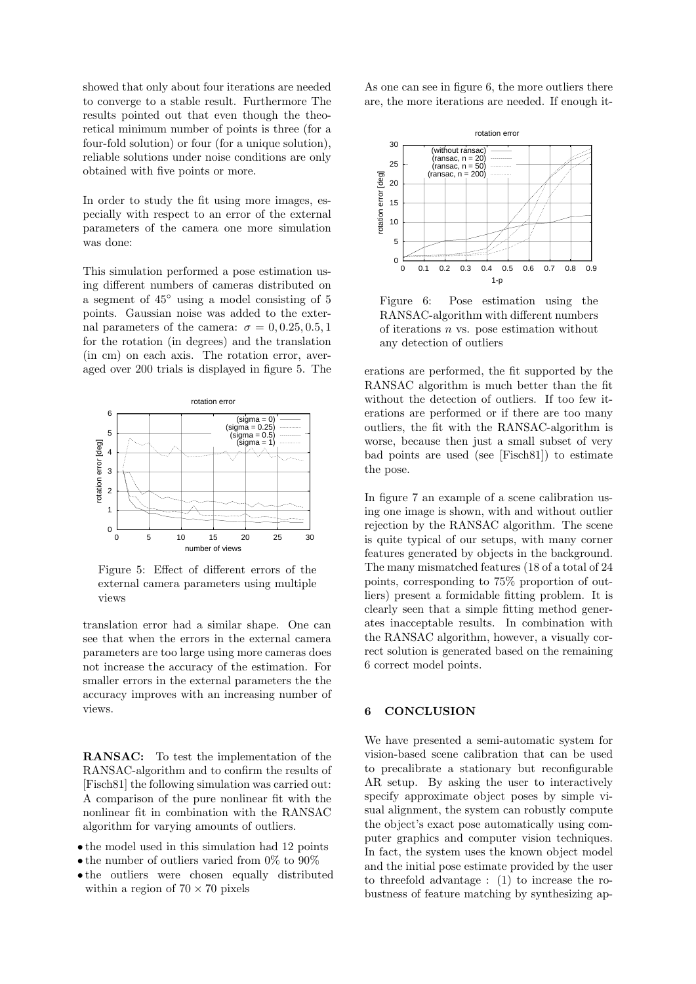showed that only about four iterations are needed to converge to a stable result. Furthermore The results pointed out that even though the theoretical minimum number of points is three (for a four-fold solution) or four (for a unique solution), reliable solutions under noise conditions are only obtained with five points or more.

In order to study the fit using more images, especially with respect to an error of the external parameters of the camera one more simulation was done:

This simulation performed a pose estimation using different numbers of cameras distributed on a segment of 45◦ using a model consisting of 5 points. Gaussian noise was added to the external parameters of the camera:  $\sigma = 0.0.25, 0.5, 1$ for the rotation (in degrees) and the translation (in cm) on each axis. The rotation error, averaged over 200 trials is displayed in figure 5. The



Figure 5: Effect of different errors of the external camera parameters using multiple views

translation error had a similar shape. One can see that when the errors in the external camera parameters are too large using more cameras does not increase the accuracy of the estimation. For smaller errors in the external parameters the the accuracy improves with an increasing number of views.

RANSAC: To test the implementation of the RANSAC-algorithm and to confirm the results of [Fisch81] the following simulation was carried out: A comparison of the pure nonlinear fit with the nonlinear fit in combination with the RANSAC algorithm for varying amounts of outliers.

- the model used in this simulation had 12 points
- the number of outliers varied from 0% to 90%
- the outliers were chosen equally distributed within a region of  $70 \times 70$  pixels

As one can see in figure 6, the more outliers there are, the more iterations are needed. If enough it-



Figure 6: Pose estimation using the RANSAC-algorithm with different numbers of iterations  $n$  vs. pose estimation without any detection of outliers

erations are performed, the fit supported by the RANSAC algorithm is much better than the fit without the detection of outliers. If too few iterations are performed or if there are too many outliers, the fit with the RANSAC-algorithm is worse, because then just a small subset of very bad points are used (see [Fisch81]) to estimate the pose.

In figure 7 an example of a scene calibration using one image is shown, with and without outlier rejection by the RANSAC algorithm. The scene is quite typical of our setups, with many corner features generated by objects in the background. The many mismatched features (18 of a total of 24 points, corresponding to 75% proportion of outliers) present a formidable fitting problem. It is clearly seen that a simple fitting method generates inacceptable results. In combination with the RANSAC algorithm, however, a visually correct solution is generated based on the remaining 6 correct model points.

## 6 CONCLUSION

We have presented a semi-automatic system for vision-based scene calibration that can be used to precalibrate a stationary but reconfigurable AR setup. By asking the user to interactively specify approximate object poses by simple visual alignment, the system can robustly compute the object's exact pose automatically using computer graphics and computer vision techniques. In fact, the system uses the known object model and the initial pose estimate provided by the user to threefold advantage : (1) to increase the robustness of feature matching by synthesizing ap-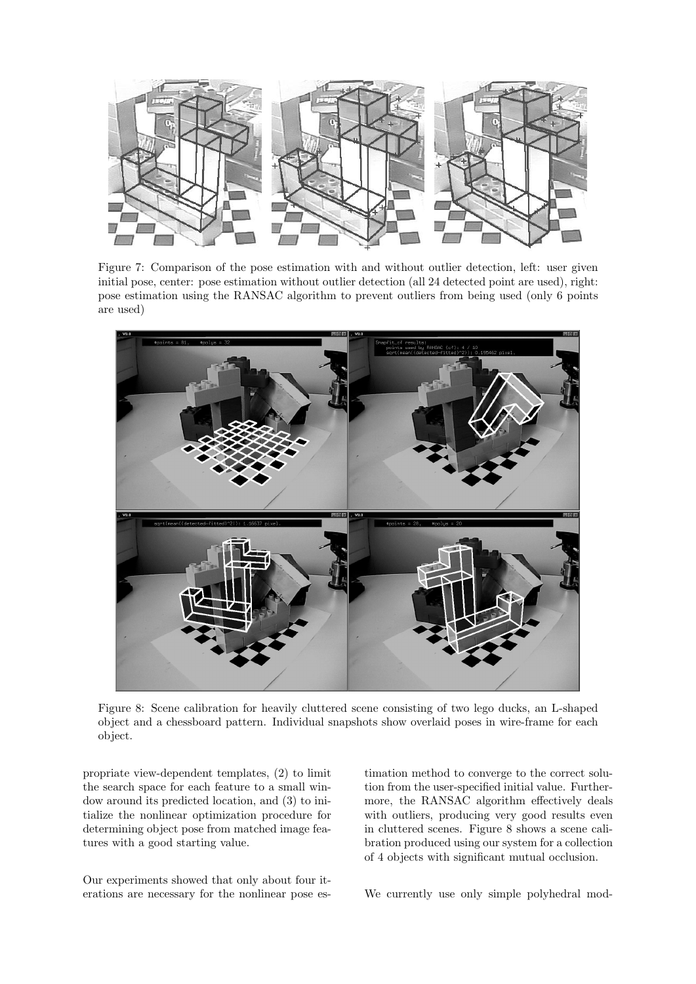

Figure 7: Comparison of the pose estimation with and without outlier detection, left: user given initial pose, center: pose estimation without outlier detection (all 24 detected point are used), right: pose estimation using the RANSAC algorithm to prevent outliers from being used (only 6 points are used)



Figure 8: Scene calibration for heavily cluttered scene consisting of two lego ducks, an L-shaped object and a chessboard pattern. Individual snapshots show overlaid poses in wire-frame for each object.

propriate view-dependent templates, (2) to limit the search space for each feature to a small window around its predicted location, and (3) to initialize the nonlinear optimization procedure for determining object pose from matched image features with a good starting value.

Our experiments showed that only about four iterations are necessary for the nonlinear pose estimation method to converge to the correct solution from the user-specified initial value. Furthermore, the RANSAC algorithm effectively deals with outliers, producing very good results even in cluttered scenes. Figure 8 shows a scene calibration produced using our system for a collection of 4 objects with significant mutual occlusion.

We currently use only simple polyhedral mod-